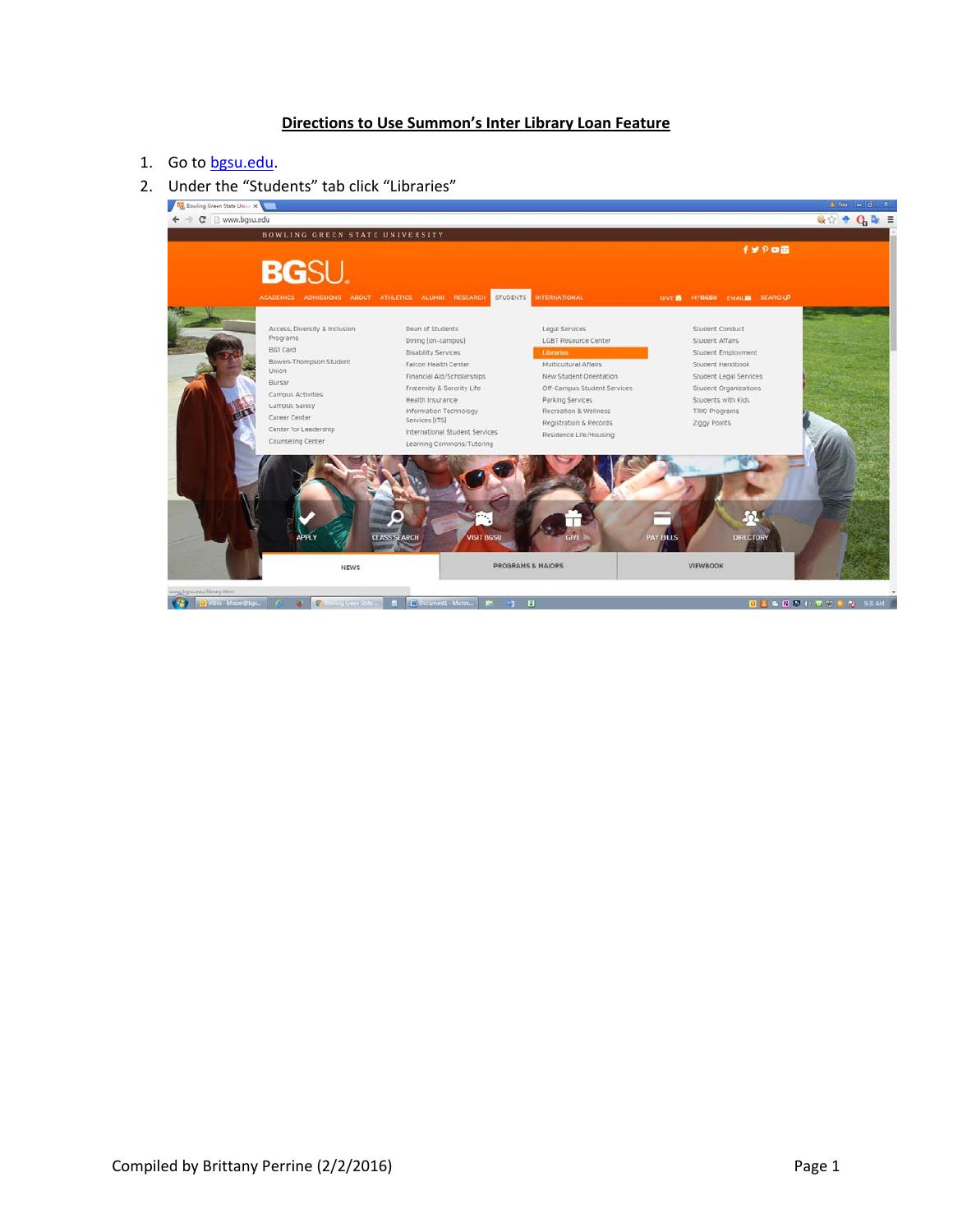## **Directions to Use Summon's Inter Library Loan Feature**

## 1. Go to bgsu.edu.

2. Under the "Students" tab click "Libraries"<br> $\sqrt{\frac{m_0 n_0 \sinh n_0 \cosh n_0 \sinh n_0 \sinh n_0 \sinh n_0 \sinh n_0 \sinh n_0 \sinh n_0 \sinh n_0 \sinh n_0 \sinh n_0 \sinh n_0 \sinh n_0 \sinh n_0 \sinh n_0 \sinh n_0 \sinh n_0 \sinh n_0 \sinh n_0 \sinh n_0 \sinh n_0 \sinh n_0 \sinh n_0 \sinh n_0 \sinh n_0 \sinh n_0 \sinh n_0 \$ 

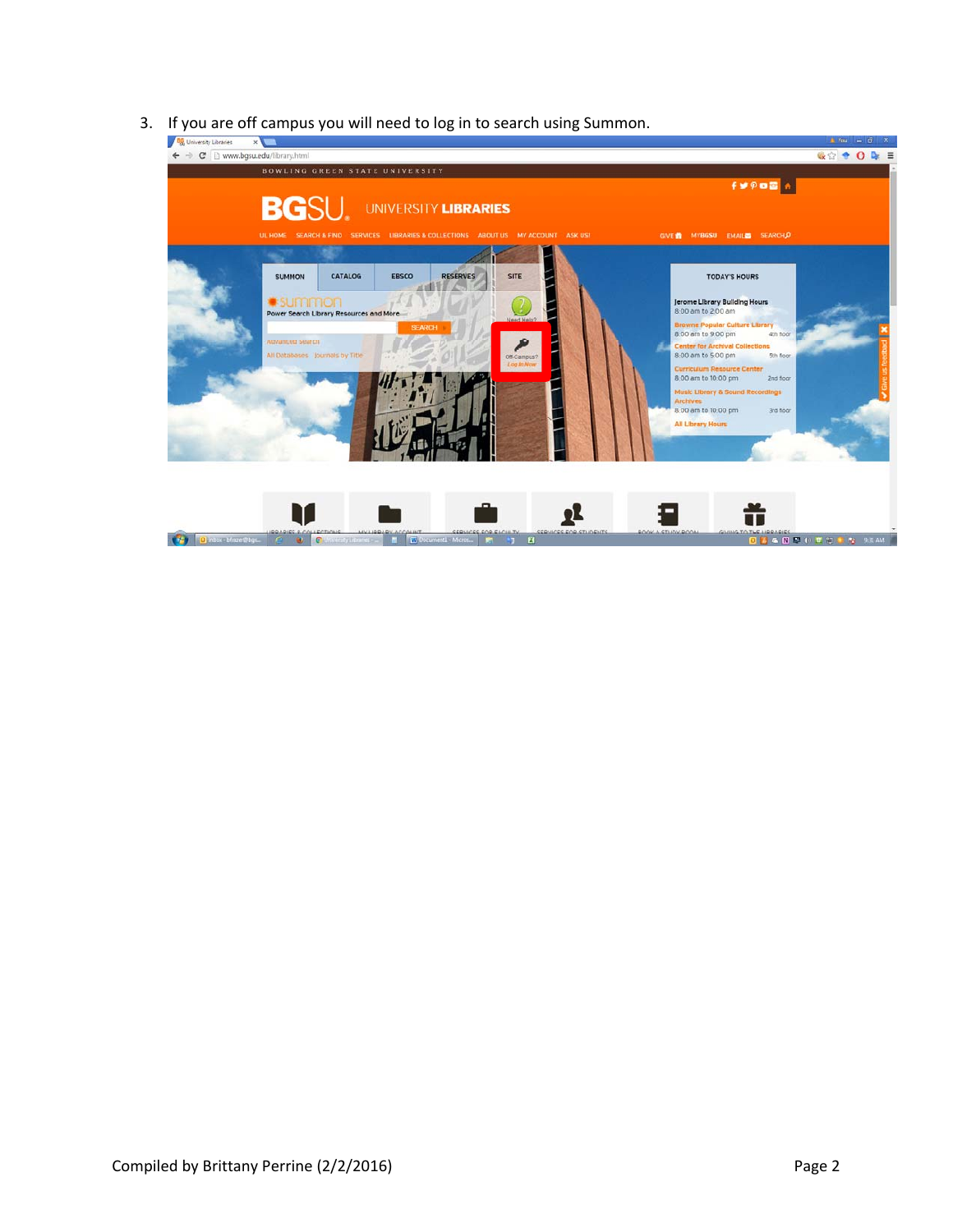3. If you are off campus you will need to log in to search using Summon.

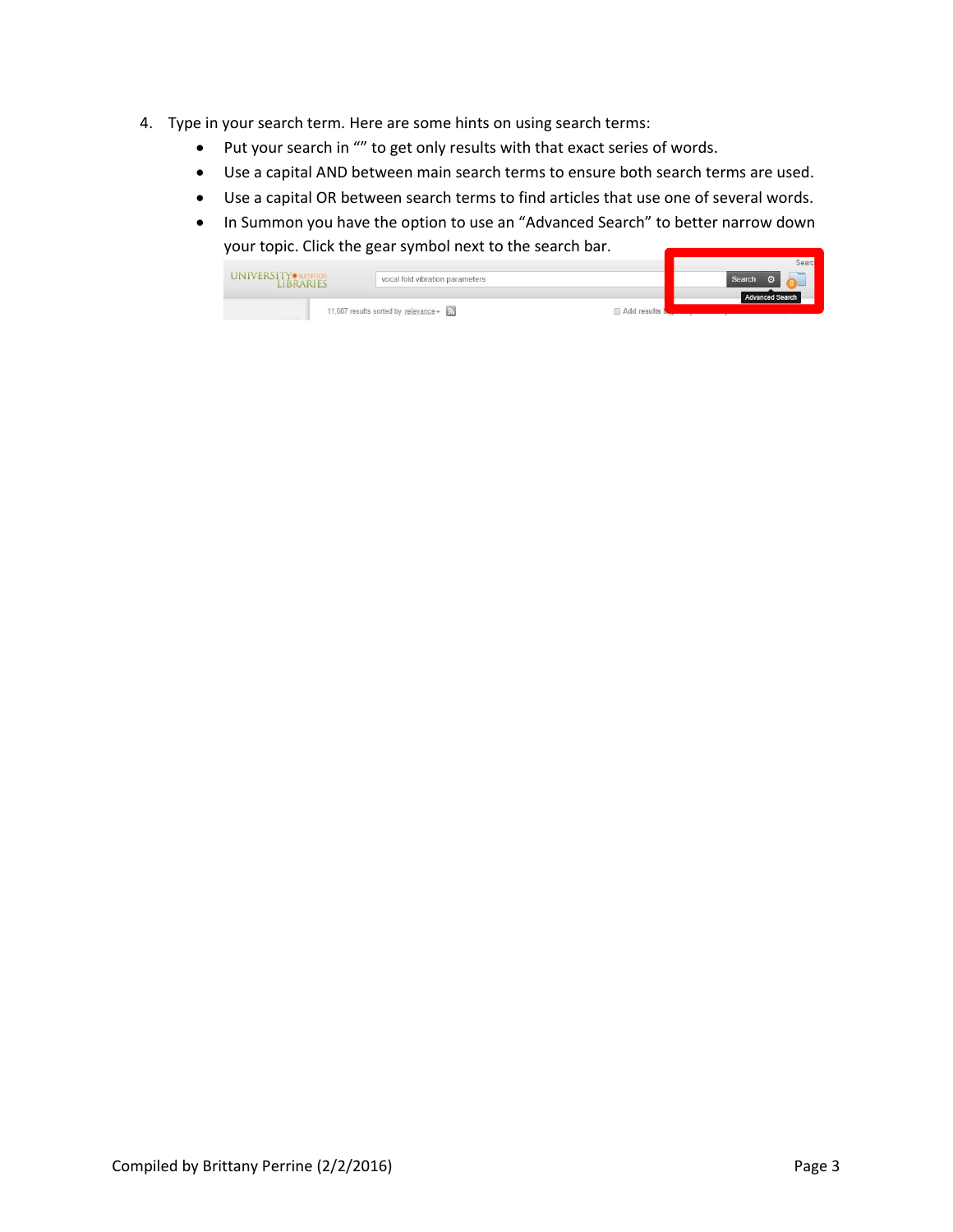- 4. Type in your search term. Here are some hints on using search terms:
	- Put your search in "" to get only results with that exact series of words.
	- Use a capital AND between main search terms to ensure both search terms are used.
	- Use a capital OR between search terms to find articles that use one of several words.
	- In Summon you have the option to use an "Advanced Search" to better narrow down your topic. Click the gear symbol next to the search bar.

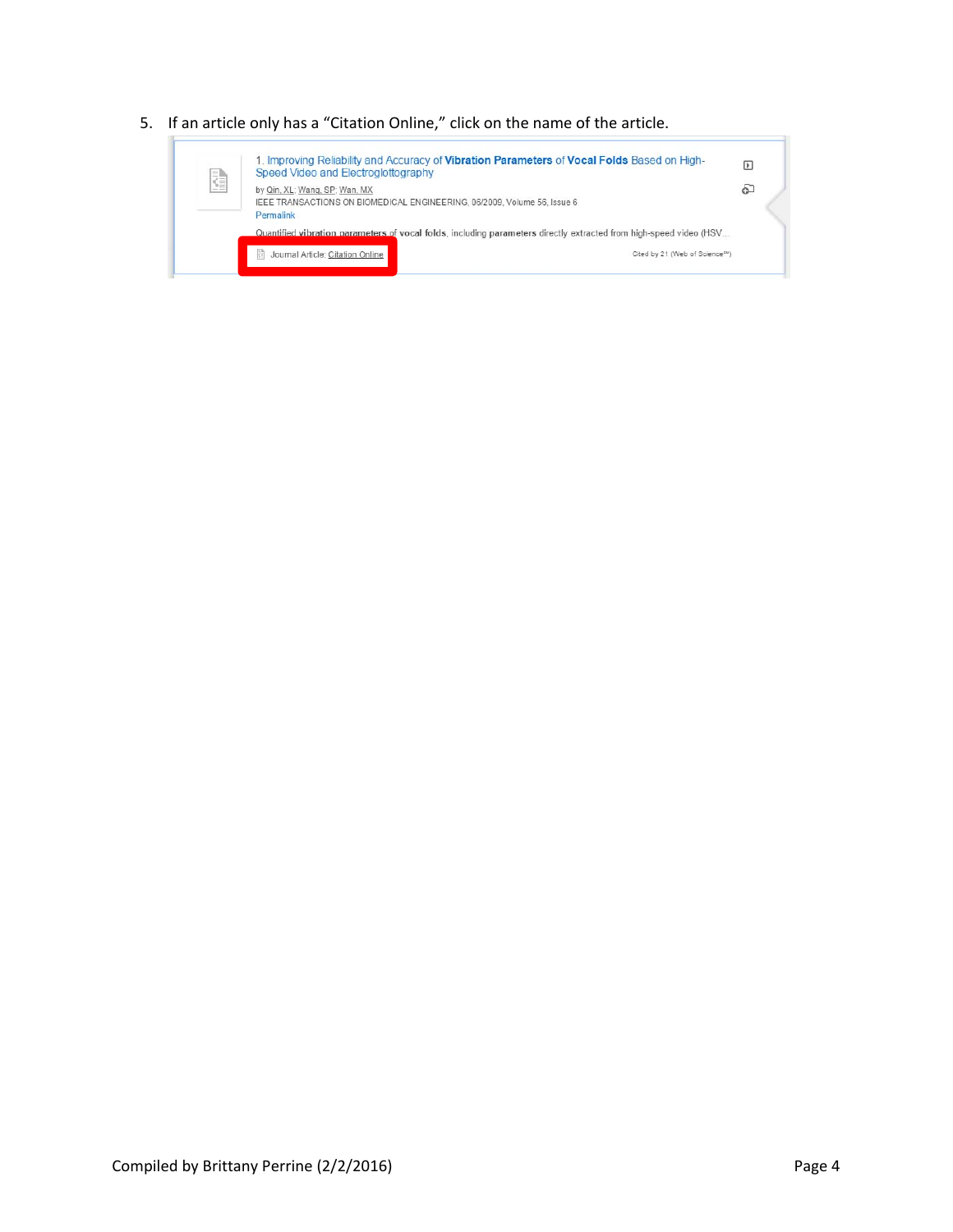5. If an article only has a "Citation Online," click on the name of the article.

| ŧ | 1. Improving Reliability and Accuracy of Vibration Parameters of Vocal Folds Based on High-<br>Speed Video and Electroglottography |                                                                                                                    |   |  |  |  |  |  |  |  |
|---|------------------------------------------------------------------------------------------------------------------------------------|--------------------------------------------------------------------------------------------------------------------|---|--|--|--|--|--|--|--|
|   | by Qin, XL; Wang, SP; Wan, MX<br>Permalink                                                                                         | IEEE TRANSACTIONS ON BIOMEDICAL ENGINEERING, 06/2009, Volume 56, Issue 6                                           | 6 |  |  |  |  |  |  |  |
|   |                                                                                                                                    | Quantified vibration parameters of vocal folds, including parameters directly extracted from high-speed video (HSV |   |  |  |  |  |  |  |  |
|   | 閵<br>Journal Article: Citation Online                                                                                              | Cited by 21 (Web of Science5M)                                                                                     |   |  |  |  |  |  |  |  |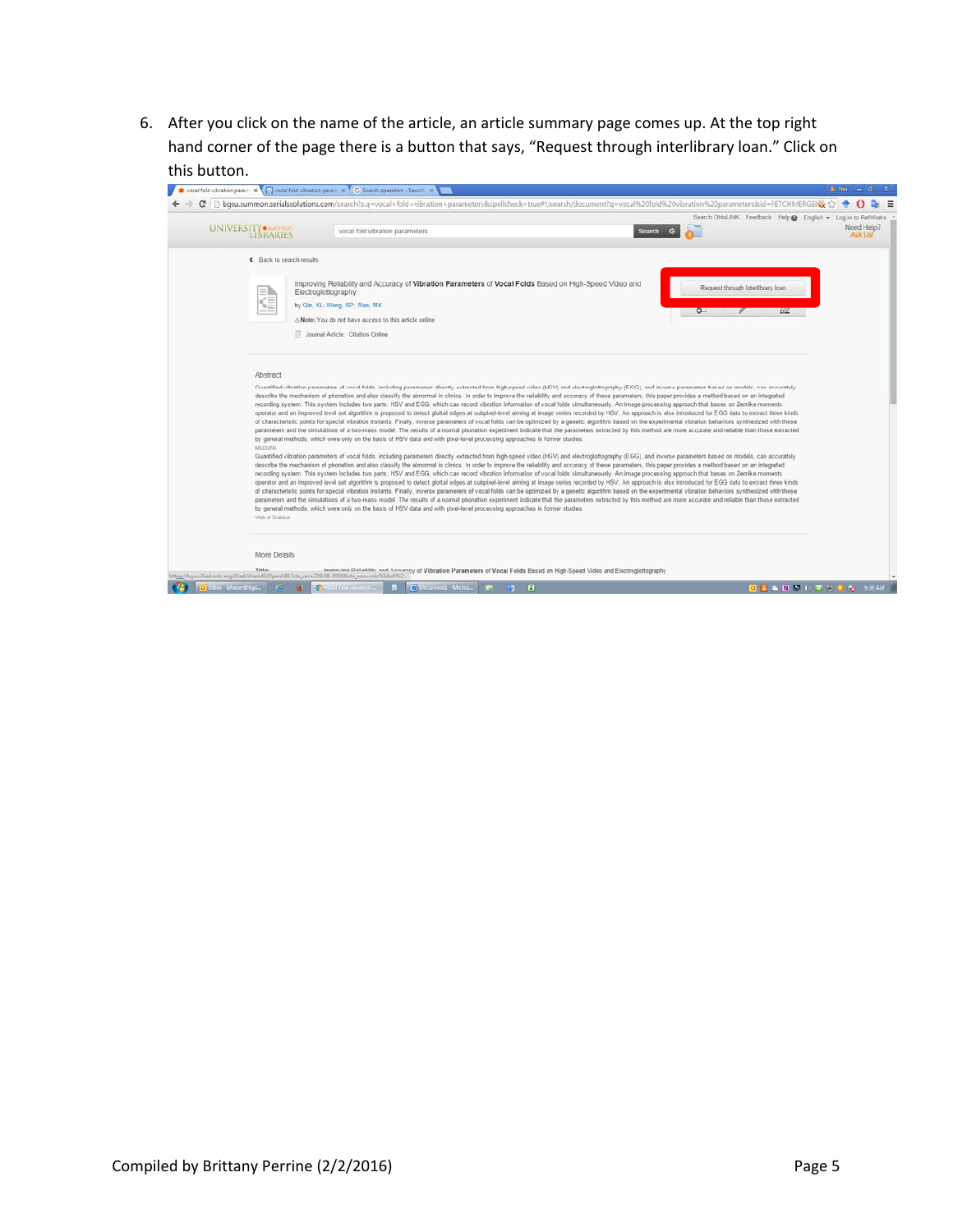6. After you click on the name of the article, an article summary page comes up. At the top right hand corner of the page there is a button that says, "Request through interlibrary loan." Click on this button.

|                                       |                                                                                                                                                                                                                                                                                                                                                                                                                                                                                                                                                                                                                                                                                                                                                                                                                                                                                                                                                                                                                                                                                                                                                                                                                                                                                                                                                                                                           | Search OhioLINK Feedback Help & English - Log in to RefWorks |
|---------------------------------------|-----------------------------------------------------------------------------------------------------------------------------------------------------------------------------------------------------------------------------------------------------------------------------------------------------------------------------------------------------------------------------------------------------------------------------------------------------------------------------------------------------------------------------------------------------------------------------------------------------------------------------------------------------------------------------------------------------------------------------------------------------------------------------------------------------------------------------------------------------------------------------------------------------------------------------------------------------------------------------------------------------------------------------------------------------------------------------------------------------------------------------------------------------------------------------------------------------------------------------------------------------------------------------------------------------------------------------------------------------------------------------------------------------------|--------------------------------------------------------------|
| UNIVERSITY summon<br><b>LIBRARIES</b> | vocal fold vibration parameters<br>Search<br>$\circ$                                                                                                                                                                                                                                                                                                                                                                                                                                                                                                                                                                                                                                                                                                                                                                                                                                                                                                                                                                                                                                                                                                                                                                                                                                                                                                                                                      | Need Help?<br>Ask Us!                                        |
| < Back to search results              |                                                                                                                                                                                                                                                                                                                                                                                                                                                                                                                                                                                                                                                                                                                                                                                                                                                                                                                                                                                                                                                                                                                                                                                                                                                                                                                                                                                                           |                                                              |
|                                       | Improving Reliability and Accuracy of Vibration Parameters of Vocal Folds Based on High-Speed Video and<br>Request through interlibrary loan<br>Electroglottography                                                                                                                                                                                                                                                                                                                                                                                                                                                                                                                                                                                                                                                                                                                                                                                                                                                                                                                                                                                                                                                                                                                                                                                                                                       |                                                              |
| Ś.                                    | by Qin, XL; Wang, SP; Wan, MX<br>$\sim$<br>ø<br>A Note: You do not have access to this article online                                                                                                                                                                                                                                                                                                                                                                                                                                                                                                                                                                                                                                                                                                                                                                                                                                                                                                                                                                                                                                                                                                                                                                                                                                                                                                     | 22                                                           |
|                                       | Journal Article Citation Online                                                                                                                                                                                                                                                                                                                                                                                                                                                                                                                                                                                                                                                                                                                                                                                                                                                                                                                                                                                                                                                                                                                                                                                                                                                                                                                                                                           |                                                              |
| Abstract                              |                                                                                                                                                                                                                                                                                                                                                                                                                                                                                                                                                                                                                                                                                                                                                                                                                                                                                                                                                                                                                                                                                                                                                                                                                                                                                                                                                                                                           |                                                              |
|                                       | Quantified vibration parameters of vocal folds, including parameters directly extracted from high-speed video (HSV) and electrogiottography (FGG), and inverse parameters based on models, can accurately<br>describe the mechanism of phonation and also classify the abnormal in clinics. In order to improve the reliability and accuracy of these parameters, this paper provides a method based on an integrated                                                                                                                                                                                                                                                                                                                                                                                                                                                                                                                                                                                                                                                                                                                                                                                                                                                                                                                                                                                     |                                                              |
|                                       | recording system. This system includes two parts: HSV and EGG, which can record vibration information of vocal folds simultaneously. An image processing approach that bases on Zernike moments<br>operator and an improved level set algorithm is proposed to detect glottal edges at subpixel-level aiming at image series recorded by HSV. An approach is also introduced for EGG data to extract three kinds<br>of characteristic points for special vibration instants. Finally, inverse parameters of vocal folds can be optimized by a genetic algorithm based on the experimental vibration behaviors synthesized with these<br>parameters and the simulations of a two-mass model. The results of a normal phonation experiment indicate that the parameters extracted by this method are more accurate and reliable than those extracted<br>by general methods, which were only on the basis of HSV data and with pixel-level processing approaches in former studies.                                                                                                                                                                                                                                                                                                                                                                                                                          |                                                              |
| <b>MEDLINE</b><br>Web of Science      | Quantified vibration parameters of vocal folds, including parameters directly extracted from high-speed video (HSV) and electroglottography (EGG), and inverse parameters based on models, can accurately<br>describe the mechanism of phonation and also classify the abnormal in clinics. In order to improve the reliability and accuracy of these parameters, this paper provides a method based on an integrated<br>recording system. This system includes two parts: HSV and EGG, which can record vibration information of vocal folds simultaneously. An image processing approach that bases on Zernike moments<br>operator and an improved level set algorithm is proposed to detect glottal edges at subpixel-level aiming at image series recorded by HSV. An approach is also introduced for EGG data to extract three kinds<br>of characteristic points for special vibration instants. Finally, inverse parameters of vocal folds can be optimized by a genetic algorithm based on the experimental vibration behaviors synthesized with these<br>parameters and the simulations of a two-mass model. The results of a normal phonation experiment indicate that the parameters extracted by this method are more accurate and reliable than those extracted<br>by general methods, which were only on the basis of HSV data and with pixel-level processing approaches in former studies. |                                                              |
| More Details                          |                                                                                                                                                                                                                                                                                                                                                                                                                                                                                                                                                                                                                                                                                                                                                                                                                                                                                                                                                                                                                                                                                                                                                                                                                                                                                                                                                                                                           |                                                              |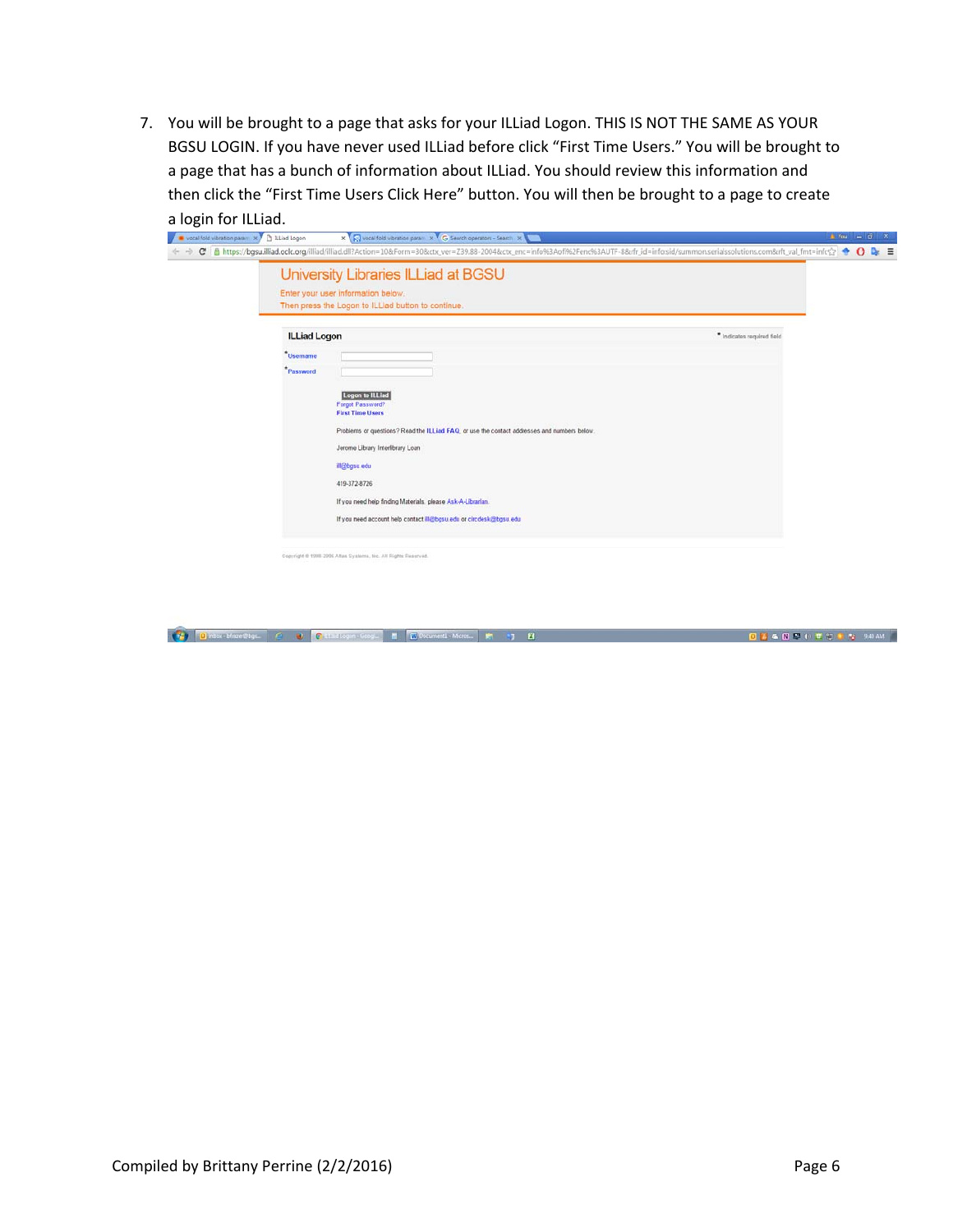7. You will be brought to a page that asks for your ILLiad Logon. THIS IS NOT THE SAME AS YOUR BGSU LOGIN. If you have never used ILLiad before click "First Time Users." You will be brought to a page that has a bunch of information about ILLiad. You should review this information and then click the "First Time Users Click Here" button. You will then be brought to a page to create a login for ILLiad.

| vocal fold vibration param X   b ILLiad Logon | X R vocal fold vibration param X G Search operators - Search X R                                                                                                                                                                                                                                                                                                       | $4$ You $ 0$<br>$\mathbf{x}$<br>$\equiv$ |  |  |  |  |  |  |
|-----------------------------------------------|------------------------------------------------------------------------------------------------------------------------------------------------------------------------------------------------------------------------------------------------------------------------------------------------------------------------------------------------------------------------|------------------------------------------|--|--|--|--|--|--|
|                                               | C B https://bgsu.illiad.oclc.org/illiad/illiad/illiad/illiad/illiad/illiad/illiad/illiad/illiad/illiad/illiad/illiad/illiad/illiad/in=30&ctx_ver=Z39.88-2004&ctx_enc=info%3Aofi%2Fenc%3AUTF-8𝔯_id=infosid/summon.serialssol<br>University Libraries ILLiad at BGSU<br>Enter your user information below.<br>Then press the Logon to ILLiad button to continue.         |                                          |  |  |  |  |  |  |
| <b>ILLiad Logon</b>                           |                                                                                                                                                                                                                                                                                                                                                                        | * Indicates required field               |  |  |  |  |  |  |
| <b>Username</b><br>Password                   | Logon to ILLiad<br>Forgot Password?<br><b>First Time Users</b><br>Problems or questions? Read the ILLiad FAQ, or use the contact addresses and numbers below.<br>Jerome Library Interlibrary Loan<br>ill@bgsu.edu<br>419-372-8726<br>If you need help finding Materials, please Ask-A-Librarian.<br>If you need account help contact ill@bgsu.edu or circdesk@bgsu.edu |                                          |  |  |  |  |  |  |
|                                               | Copyright @ 1998-2006 Altas Systems, Inc. All Rights Reserved.                                                                                                                                                                                                                                                                                                         |                                          |  |  |  |  |  |  |

Contact Macritique (2) 2 Catalogue Corp. 8 Clockward Mont. (2) 12 Clockward (2) 2 Clockward (2) 2 Clockward (2) 2 Clockward (2) 2 Clockward (2) 2 Clockward (2) 2 Clockward (2) 2 Clockward (2) 2 Clockward (2) 2 Clockward (2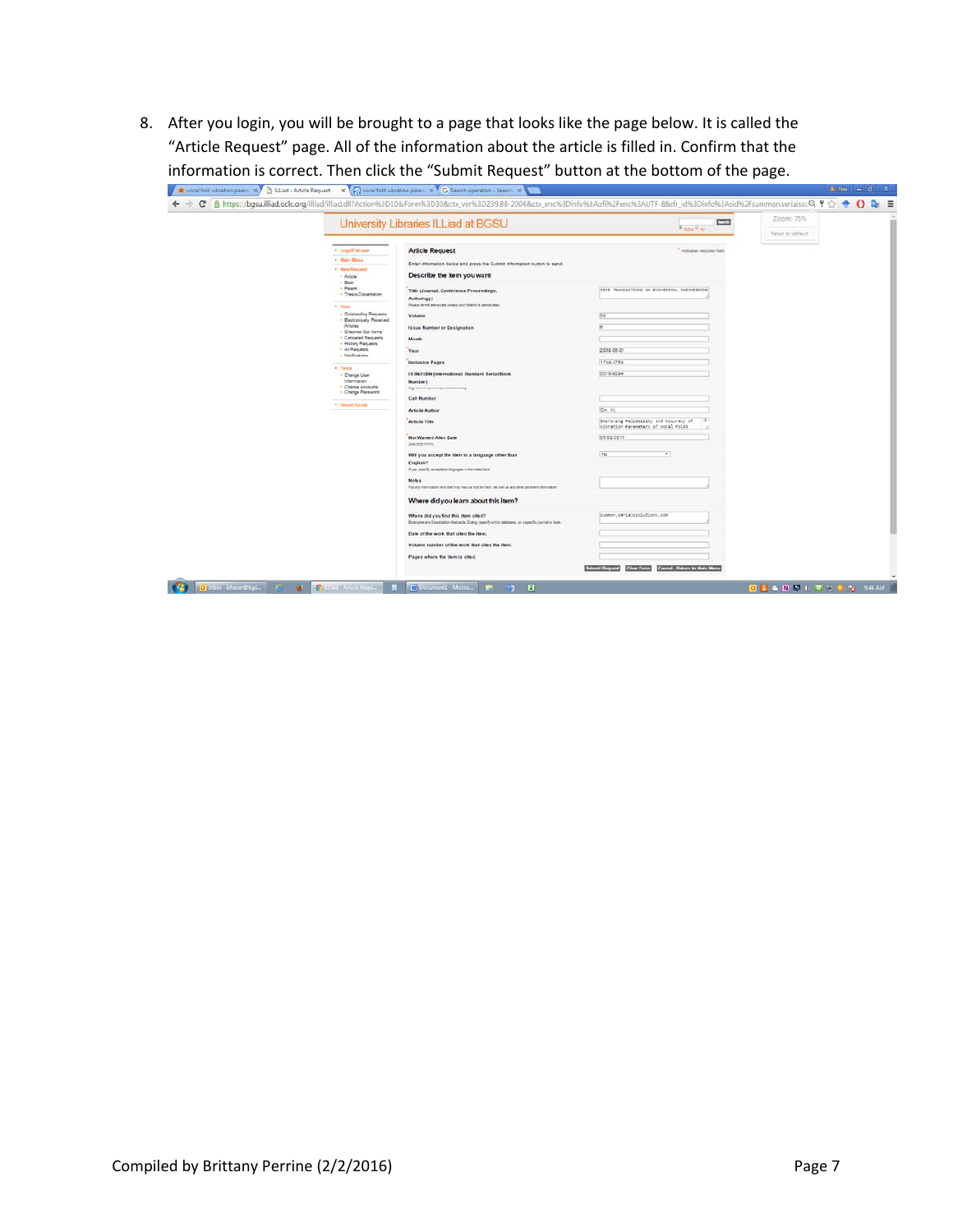8. After you login, you will be brought to a page that looks like the page below. It is called the "Article Request" page. All of the information about the article is filled in. Confirm that the information is correct. Then click the "Submit Request" button at the bottom of the page.

|                                                               | University Libraries ILLiad at BGSU                                                                                                         | <b>CON</b><br><b>RABIA</b> PAI                                               | Zoom: 75%<br>Reset to default |
|---------------------------------------------------------------|---------------------------------------------------------------------------------------------------------------------------------------------|------------------------------------------------------------------------------|-------------------------------|
| · Logoff Ishaam                                               | <b>Article Request</b>                                                                                                                      | Indicates required field                                                     |                               |
| · Main Menu<br>* New Request<br>- Adiple                      | Enter information below and gress the Submit Information button to send.<br>Describe the item you want                                      |                                                                              |                               |
| + Book<br>- Patent<br>· Thesis Cissartation                   | Title (Journal, Conference Proceedings,<br>Anthology)<br>Pressure do not anteres una unusia your situation is apprentised                   | IEEE TRANSACTIONS ON BIOMEDICAL ENSINEERING                                  |                               |
| * View<br>- Outstanding Requests<br>- Electronically Received | Volume                                                                                                                                      |                                                                              |                               |
| Artigles<br>. Checked Out Items<br>. Canceled Requests        | Issue Number or Designation<br><b>Month</b>                                                                                                 |                                                                              |                               |
| . Hatery Requests<br>+ All Requests<br>- Natifications        | Year                                                                                                                                        | 2009-08-01                                                                   |                               |
| * Tasis<br>- Charge User<br>Information<br>+ Charge Associats | <b>Inclusive Pages</b><br><b>ISSNISEN (International Standard Serial/Book</b><br>Number)<br>Highway will appear request processing          | 1744-1784<br>0018-0294                                                       |                               |
| . Change Password<br>· About ILLiad                           | <b>Call Number</b>                                                                                                                          |                                                                              |                               |
|                                                               | <b>Article Author</b>                                                                                                                       | On, XL                                                                       |                               |
|                                                               | <b>Article Title</b>                                                                                                                        | Improving Reliability and Accuracy of<br>Wibration Parameters of Vocal Folds |                               |
|                                                               | <b>Not Wanted After Date</b><br>(MMODYYYYY)                                                                                                 | 05/02/2016                                                                   |                               |
|                                                               | Will you accept the item in a language other than<br>English?<br>If yes, specify acceptable languages in the notes field.                   | Na<br>٠                                                                      |                               |
|                                                               | Notes<br>Put any information here that may help us find the fiem, as well as any other pertinent information.                               |                                                                              |                               |
|                                                               | Where did you learn about this item?                                                                                                        |                                                                              |                               |
|                                                               | Where did you find this item cited?<br>Examples are Dissertation Abstracts. Dialog (specify which database), or a specific journal or book. | summon.sentalssolutions.com                                                  |                               |
|                                                               | Date of the work that cited the item.                                                                                                       |                                                                              |                               |
|                                                               | Volume number of the work that cited the item                                                                                               |                                                                              |                               |
|                                                               | Pages where the item is cited.                                                                                                              | <b>Submit Request</b><br>Cancel - Return to Main Menu<br><b>Clear Form</b>   |                               |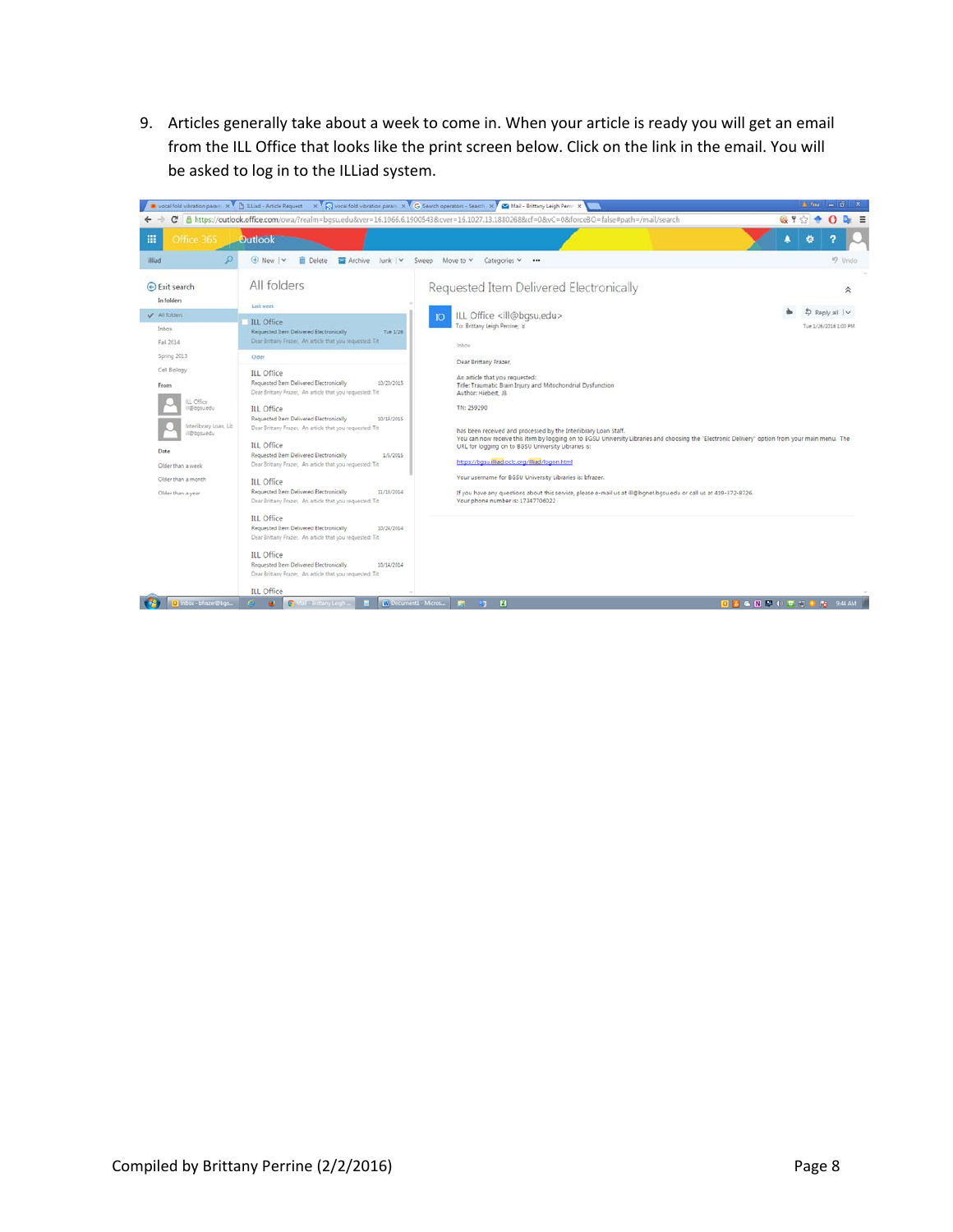9. Articles generally take about a week to come in. When your article is ready you will get an email from the ILL Office that looks like the print screen below. Click on the link in the email. You will be asked to log in to the ILLiad system.